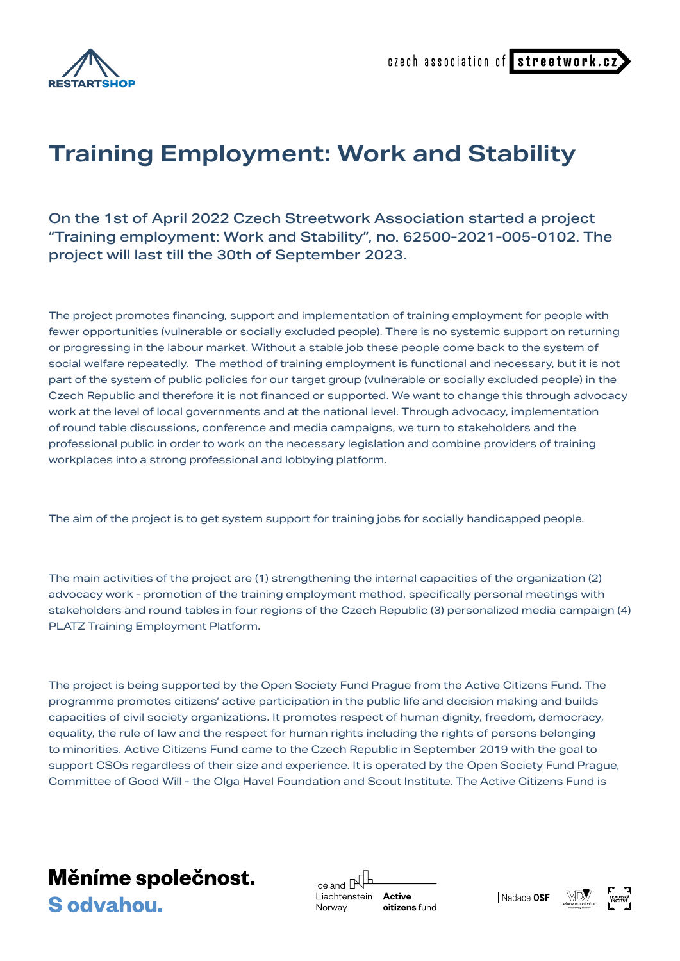

czech association of streetwork.c;

## **Training Employment: Work and Stability**

On the 1st of April 2022 Czech Streetwork Association started a project "Training employment: Work and Stability", no. 62500-2021-005-0102. The project will last till the 30th of September 2023.

The project promotes financing, support and implementation of training employment for people with fewer opportunities (vulnerable or socially excluded people). There is no systemic support on returning or progressing in the labour market. Without a stable job these people come back to the system of social welfare repeatedly. The method of training employment is functional and necessary, but it is not part of the system of public policies for our target group (vulnerable or socially excluded people) in the Czech Republic and therefore it is not financed or supported. We want to change this through advocacy work at the level of local governments and at the national level. Through advocacy, implementation of round table discussions, conference and media campaigns, we turn to stakeholders and the professional public in order to work on the necessary legislation and combine providers of training workplaces into a strong professional and lobbying platform.

The aim of the project is to get system support for training jobs for socially handicapped people.

The main activities of the project are (1) strengthening the internal capacities of the organization (2) advocacy work - promotion of the training employment method, specifically personal meetings with stakeholders and round tables in four regions of the Czech Republic (3) personalized media campaign (4) PLATZ Training Employment Platform.

The project is being supported by the Open Society Fund Prague from the Active Citizens Fund. The programme promotes citizens' active participation in the public life and decision making and builds capacities of civil society organizations. It promotes respect of human dignity, freedom, democracy, equality, the rule of law and the respect for human rights including the rights of persons belonging to minorities. Active Citizens Fund came to the Czech Republic in September 2019 with the goal to support CSOs regardless of their size and experience. It is operated by the Open Society Fund Prague, Committee of Good Will - the Olga Havel Foundation and Scout Institute. The Active Citizens Fund is



Iceland  $\mathbb P$ Liechtenstein Active citizens fund Norway

Nadace OSF